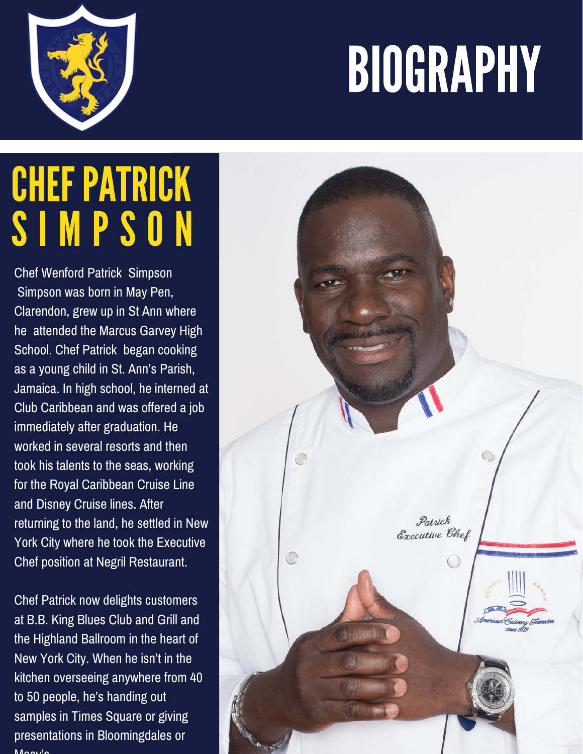## BIOGRAPHY



## **CHEF PATRICK** S I M P S O N

Chef Wenford Patrick Simpson Simpson was born in May Pen, Clarendon, grew up in St Ann where he attended the Marcus Garvey High School. Chef Patrick began cooking as a young child in St. Ann's Parish, Jamaica. In high school, he interned at Club Caribbean and was offered a job immediately after graduation. He worked in several resorts and then took his talents to the seas, working for the Royal Caribbean Cruise Line and Disney Cruise lines. After returning to the land, he settled in New York City where he took the Executive Chef position at Negril Restaurant.

Chef Patrick now delights customers at B.B. King Blues Club and Grill and the Highland Ballroom in the heart of New York City. When he isn't in the kitchen overseeing anywhere from 40 to 50 people, he's handing out samples in Times Square or giving presentations in Bloomingdales or  $M$ cov's